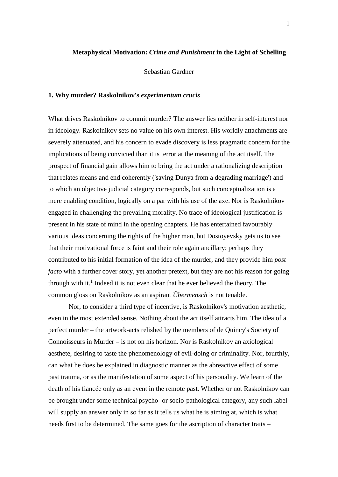# **Metaphysical Motivation:** *Crime and Punishment* **in the Light of Schelling**

Sebastian Gardner

## **1. Why murder? Raskolnikov's** *experimentum crucis*

What drives Raskolnikov to commit murder? The answer lies neither in self-interest nor in ideology. Raskolnikov sets no value on his own interest. His worldly attachments are severely attenuated, and his concern to evade discovery is less pragmatic concern for the implications of being convicted than it is terror at the meaning of the act itself. The prospect of financial gain allows him to bring the act under a rationalizing description that relates means and end coherently ('saving Dunya from a degrading marriage') and to which an objective judicial category corresponds, but such conceptualization is a mere enabling condition, logically on a par with his use of the axe. Nor is Raskolnikov engaged in challenging the prevailing morality. No trace of ideological justification is present in his state of mind in the opening chapters. He has entertained favourably various ideas concerning the rights of the higher man, but Dostoyevsky gets us to see that their motivational force is faint and their role again ancillary: perhaps they contributed to his initial formation of the idea of the murder, and they provide him *post facto* with a further cover story, yet another pretext, but they are not his reason for going through with it.<sup>1</sup> Indeed it is not even clear that he ever believed the theory. The common gloss on Raskolnikov as an aspirant *Übermensch* is not tenable.

Nor, to consider a third type of incentive, is Raskolnikov's motivation aesthetic, even in the most extended sense. Nothing about the act itself attracts him. The idea of a perfect murder – the artwork-acts relished by the members of de Quincy's Society of Connoisseurs in Murder – is not on his horizon. Nor is Raskolnikov an axiological aesthete, desiring to taste the phenomenology of evil-doing or criminality. Nor, fourthly, can what he does be explained in diagnostic manner as the abreactive effect of some past trauma, or as the manifestation of some aspect of his personality. We learn of the death of his fiancée only as an event in the remote past. Whether or not Raskolnikov can be brought under some technical psycho- or socio-pathological category, any such label will supply an answer only in so far as it tells us what he is aiming at, which is what needs first to be determined. The same goes for the ascription of character traits –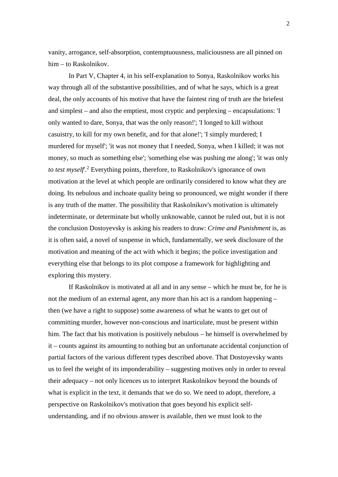vanity, arrogance, self-absorption, contemptuousness, maliciousness are all pinned on him – to Raskolnikov.

In Part V, Chapter 4, in his self-explanation to Sonya, Raskolnikov works his way through all of the substantive possibilities, and of what he says, which is a great deal, the only accounts of his motive that have the faintest ring of truth are the briefest and simplest – and also the emptiest, most cryptic and perplexing – encapsulations: 'I only wanted to dare, Sonya, that was the only reason!'; 'I longed to kill without casuistry, to kill for my own benefit, and for that alone!'; 'I simply murdered; I murdered for myself'; 'it was not money that I needed, Sonya, when I killed; it was not money, so much as something else'; 'something else was pushing me along'; 'it was only to test myself.<sup>2</sup> Everything points, therefore, to Raskolnikov's ignorance of own motivation at the level at which people are ordinarily considered to know what they are doing. Its nebulous and inchoate quality being so pronounced, we might wonder if there is any truth of the matter. The possibility that Raskolnikov's motivation is ultimately indeterminate, or determinate but wholly unknowable, cannot be ruled out, but it is not the conclusion Dostoyevsky is asking his readers to draw: *Crime and Punishment* is, as it is often said, a novel of suspense in which, fundamentally, we seek disclosure of the motivation and meaning of the act with which it begins; the police investigation and everything else that belongs to its plot compose a framework for highlighting and exploring this mystery.

If Raskolnikov is motivated at all and in any sense – which he must be, for he is not the medium of an external agent, any more than his act is a random happening – then (we have a right to suppose) some awareness of what he wants to get out of committing murder, however non-conscious and inarticulate, must be present within him. The fact that his motivation is positively nebulous – he himself is overwhelmed by it – counts against its amounting to nothing but an unfortunate accidental conjunction of partial factors of the various different types described above. That Dostoyevsky wants us to feel the weight of its imponderability – suggesting motives only in order to reveal their adequacy – not only licences us to interpret Raskolnikov beyond the bounds of what is explicit in the text, it demands that we do so. We need to adopt, therefore, a perspective on Raskolnikov's motivation that goes beyond his explicit selfunderstanding, and if no obvious answer is available, then we must look to the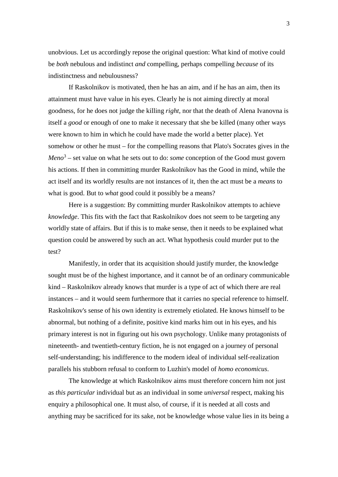unobvious. Let us accordingly repose the original question: What kind of motive could be *both* nebulous and indistinct *and* compelling, perhaps compelling *because* of its indistinctness and nebulousness?

If Raskolnikov is motivated, then he has an aim, and if he has an aim, then its attainment must have value in his eyes. Clearly he is not aiming directly at moral goodness, for he does not judge the killing *right*, nor that the death of Alena Ivanovna is itself a *good* or enough of one to make it necessary that she be killed (many other ways were known to him in which he could have made the world a better place). Yet somehow or other he must – for the compelling reasons that Plato's Socrates gives in the *Meno*<sup>3</sup> – set value on what he sets out to do: *some* conception of the Good must govern his actions. If then in committing murder Raskolnikov has the Good in mind, while the act itself and its worldly results are not instances of it, then the act must be a *means* to what is good. But to *what* good could it possibly be a means?

Here is a suggestion: By committing murder Raskolnikov attempts to achieve *knowledge*. This fits with the fact that Raskolnikov does not seem to be targeting any worldly state of affairs. But if this is to make sense, then it needs to be explained what question could be answered by such an act. What hypothesis could murder put to the test?

Manifestly, in order that its acquisition should justify murder, the knowledge sought must be of the highest importance, and it cannot be of an ordinary communicable kind – Raskolnikov already knows that murder is a type of act of which there are real instances – and it would seem furthermore that it carries no special reference to himself. Raskolnikov's sense of his own identity is extremely etiolated. He knows himself to be abnormal, but nothing of a definite, positive kind marks him out in his eyes, and his primary interest is not in figuring out his own psychology. Unlike many protagonists of nineteenth- and twentieth-century fiction, he is not engaged on a journey of personal self-understanding; his indifference to the modern ideal of individual self-realization parallels his stubborn refusal to conform to Luzhin's model of *homo economicus*.

The knowledge at which Raskolnikov aims must therefore concern him not just as *this particular* individual but as an individual in some *universal* respect, making his enquiry a philosophical one. It must also, of course, if it is needed at all costs and anything may be sacrificed for its sake, not be knowledge whose value lies in its being a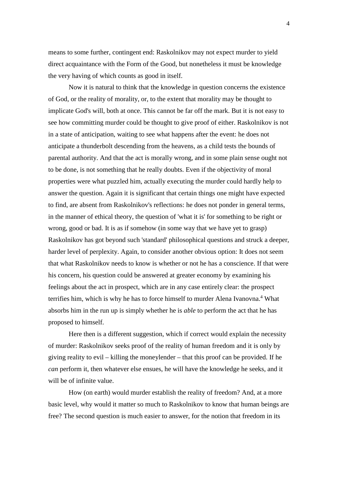means to some further, contingent end: Raskolnikov may not expect murder to yield direct acquaintance with the Form of the Good, but nonetheless it must be knowledge the very having of which counts as good in itself.

Now it is natural to think that the knowledge in question concerns the existence of God, or the reality of morality, or, to the extent that morality may be thought to implicate God's will, both at once. This cannot be far off the mark. But it is not easy to see how committing murder could be thought to give proof of either. Raskolnikov is not in a state of anticipation, waiting to see what happens after the event: he does not anticipate a thunderbolt descending from the heavens, as a child tests the bounds of parental authority. And that the act is morally wrong, and in some plain sense ought not to be done, is not something that he really doubts. Even if the objectivity of moral properties were what puzzled him, actually executing the murder could hardly help to answer the question. Again it is significant that certain things one might have expected to find, are absent from Raskolnikov's reflections: he does not ponder in general terms, in the manner of ethical theory, the question of 'what it is' for something to be right or wrong, good or bad. It is as if somehow (in some way that we have yet to grasp) Raskolnikov has got beyond such 'standard' philosophical questions and struck a deeper, harder level of perplexity. Again, to consider another obvious option: It does not seem that what Raskolnikov needs to know is whether or not he has a conscience. If that were his concern, his question could be answered at greater economy by examining his feelings about the act in prospect, which are in any case entirely clear: the prospect terrifies him, which is why he has to force himself to murder Alena Ivanovna.<sup>4</sup> What absorbs him in the run up is simply whether he is *able* to perform the act that he has proposed to himself.

Here then is a different suggestion, which if correct would explain the necessity of murder: Raskolnikov seeks proof of the reality of human freedom and it is only by giving reality to evil – killing the moneylender – that this proof can be provided. If he *can* perform it, then whatever else ensues, he will have the knowledge he seeks, and it will be of infinite value.

How (on earth) would murder establish the reality of freedom? And, at a more basic level, why would it matter so much to Raskolnikov to know that human beings are free? The second question is much easier to answer, for the notion that freedom in its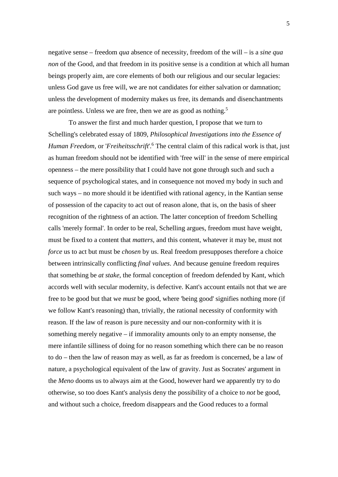negative sense – freedom *qua* absence of necessity, freedom of the will – is a *sine qua non* of the Good, and that freedom in its positive sense is a condition at which all human beings properly aim, are core elements of both our religious and our secular legacies: unless God gave us free will, we are not candidates for either salvation or damnation; unless the development of modernity makes us free, its demands and disenchantments are pointless. Unless we are free, then we are as good as nothing.<sup>5</sup>

To answer the first and much harder question, I propose that we turn to Schelling's celebrated essay of 1809, *Philosophical Investigations into the Essence of*  Human Freedom, or '*Freiheitsschrift*'.<sup>6</sup> The central claim of this radical work is that, just as human freedom should not be identified with 'free will' in the sense of mere empirical openness – the mere possibility that I could have not gone through such and such a sequence of psychological states, and in consequence not moved my body in such and such ways – no more should it be identified with rational agency, in the Kantian sense of possession of the capacity to act out of reason alone, that is, on the basis of sheer recognition of the rightness of an action. The latter conception of freedom Schelling calls 'merely formal'. In order to be real, Schelling argues, freedom must have weight, must be fixed to a content that *matters*, and this content, whatever it may be, must not *force* us to act but must be *chosen* by us. Real freedom presupposes therefore a choice between intrinsically conflicting *final values*. And because genuine freedom requires that something be *at stake*, the formal conception of freedom defended by Kant, which accords well with secular modernity, is defective. Kant's account entails not that we are free to be good but that we *must* be good, where 'being good' signifies nothing more (if we follow Kant's reasoning) than, trivially, the rational necessity of conformity with reason. If the law of reason is pure necessity and our non-conformity with it is something merely negative – if immorality amounts only to an empty nonsense, the mere infantile silliness of doing for no reason something which there can be no reason to do – then the law of reason may as well, as far as freedom is concerned, be a law of nature, a psychological equivalent of the law of gravity. Just as Socrates' argument in the *Meno* dooms us to always aim at the Good, however hard we apparently try to do otherwise, so too does Kant's analysis deny the possibility of a choice to *not* be good, and without such a choice, freedom disappears and the Good reduces to a formal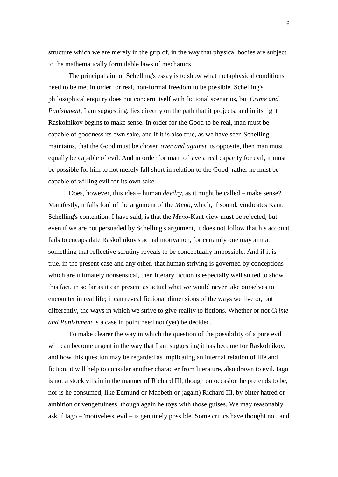structure which we are merely in the grip of, in the way that physical bodies are subject to the mathematically formulable laws of mechanics.

The principal aim of Schelling's essay is to show what metaphysical conditions need to be met in order for real, non-formal freedom to be possible. Schelling's philosophical enquiry does not concern itself with fictional scenarios, but *Crime and Punishment*, I am suggesting, lies directly on the path that it projects, and in its light Raskolnikov begins to make sense. In order for the Good to be real, man must be capable of goodness its own sake, and if it is also true, as we have seen Schelling maintains, that the Good must be chosen *over and against* its opposite, then man must equally be capable of evil. And in order for man to have a real capacity for evil, it must be possible for him to not merely fall short in relation to the Good, rather he must be capable of willing evil for its own sake.

Does, however, this idea – human *devilry*, as it might be called – make sense? Manifestly, it falls foul of the argument of the *Meno*, which, if sound, vindicates Kant. Schelling's contention, I have said, is that the *Meno*-Kant view must be rejected, but even if we are not persuaded by Schelling's argument, it does not follow that his account fails to encapsulate Raskolnikov's actual motivation, for certainly one may aim at something that reflective scrutiny reveals to be conceptually impossible. And if it is true, in the present case and any other, that human striving is governed by conceptions which are ultimately nonsensical, then literary fiction is especially well suited to show this fact, in so far as it can present as actual what we would never take ourselves to encounter in real life; it can reveal fictional dimensions of the ways we live or, put differently, the ways in which we strive to give reality to fictions. Whether or not *Crime and Punishment* is a case in point need not (yet) be decided.

To make clearer the way in which the question of the possibility of a pure evil will can become urgent in the way that I am suggesting it has become for Raskolnikov, and how this question may be regarded as implicating an internal relation of life and fiction, it will help to consider another character from literature, also drawn to evil. Iago is not a stock villain in the manner of Richard III, though on occasion he pretends to be, nor is he consumed, like Edmund or Macbeth or (again) Richard III, by bitter hatred or ambition or vengefulness, though again he toys with those guises. We may reasonably ask if Iago – 'motiveless' evil – is genuinely possible. Some critics have thought not, and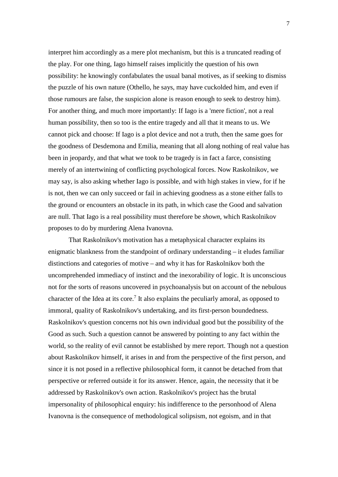interpret him accordingly as a mere plot mechanism, but this is a truncated reading of the play. For one thing, Iago himself raises implicitly the question of his own possibility: he knowingly confabulates the usual banal motives, as if seeking to dismiss the puzzle of his own nature (Othello, he says, may have cuckolded him, and even if those rumours are false, the suspicion alone is reason enough to seek to destroy him). For another thing, and much more importantly: If Iago is a 'mere fiction', not a real human possibility, then so too is the entire tragedy and all that it means to us. We cannot pick and choose: If Iago is a plot device and not a truth, then the same goes for the goodness of Desdemona and Emilia, meaning that all along nothing of real value has been in jeopardy, and that what we took to be tragedy is in fact a farce, consisting merely of an intertwining of conflicting psychological forces. Now Raskolnikov, we may say, is also asking whether Iago is possible, and with high stakes in view, for if he is not, then we can only succeed or fail in achieving goodness as a stone either falls to the ground or encounters an obstacle in its path, in which case the Good and salvation are null. That Iago is a real possibility must therefore be *shown*, which Raskolnikov proposes to do by murdering Alena Ivanovna.

That Raskolnikov's motivation has a metaphysical character explains its enigmatic blankness from the standpoint of ordinary understanding – it eludes familiar distinctions and categories of motive – and why it has for Raskolnikov both the uncomprehended immediacy of instinct and the inexorability of logic. It is unconscious not for the sorts of reasons uncovered in psychoanalysis but on account of the nebulous character of the Idea at its core.<sup>7</sup> It also explains the peculiarly amoral, as opposed to immoral, quality of Raskolnikov's undertaking, and its first-person boundedness. Raskolnikov's question concerns not his own individual good but the possibility of the Good as such. Such a question cannot be answered by pointing to any fact within the world, so the reality of evil cannot be established by mere report. Though not a question about Raskolnikov himself, it arises in and from the perspective of the first person, and since it is not posed in a reflective philosophical form, it cannot be detached from that perspective or referred outside it for its answer. Hence, again, the necessity that it be addressed by Raskolnikov's own action. Raskolnikov's project has the brutal impersonality of philosophical enquiry: his indifference to the personhood of Alena Ivanovna is the consequence of methodological solipsism, not egoism, and in that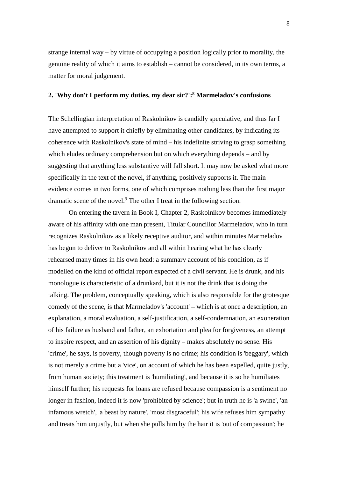strange internal way – by virtue of occupying a position logically prior to morality, the genuine reality of which it aims to establish – cannot be considered, in its own terms, a matter for moral judgement.

# **2. 'Why don't I perform my duties, my dear sir?':<sup>8</sup> Marmeladov's confusions**

The Schellingian interpretation of Raskolnikov is candidly speculative, and thus far I have attempted to support it chiefly by eliminating other candidates, by indicating its coherence with Raskolnikov's state of mind – his indefinite striving to grasp something which eludes ordinary comprehension but on which everything depends – and by suggesting that anything less substantive will fall short. It may now be asked what more specifically in the text of the novel, if anything, positively supports it. The main evidence comes in two forms, one of which comprises nothing less than the first major dramatic scene of the novel.<sup>9</sup> The other I treat in the following section.

On entering the tavern in Book I, Chapter 2, Raskolnikov becomes immediately aware of his affinity with one man present, Titular Councillor Marmeladov, who in turn recognizes Raskolnikov as a likely receptive auditor, and within minutes Marmeladov has begun to deliver to Raskolnikov and all within hearing what he has clearly rehearsed many times in his own head: a summary account of his condition, as if modelled on the kind of official report expected of a civil servant. He is drunk, and his monologue is characteristic of a drunkard, but it is not the drink that is doing the talking. The problem, conceptually speaking, which is also responsible for the grotesque comedy of the scene, is that Marmeladov's 'account' – which is at once a description, an explanation, a moral evaluation, a self-justification, a self-condemnation, an exoneration of his failure as husband and father, an exhortation and plea for forgiveness, an attempt to inspire respect, and an assertion of his dignity – makes absolutely no sense. His 'crime', he says, is poverty, though poverty is no crime; his condition is 'beggary', which is not merely a crime but a 'vice', on account of which he has been expelled, quite justly, from human society; this treatment is 'humiliating', and because it is so he humiliates himself further; his requests for loans are refused because compassion is a sentiment no longer in fashion, indeed it is now 'prohibited by science'; but in truth he is 'a swine', 'an infamous wretch', 'a beast by nature', 'most disgraceful'; his wife refuses him sympathy and treats him unjustly, but when she pulls him by the hair it is 'out of compassion'; he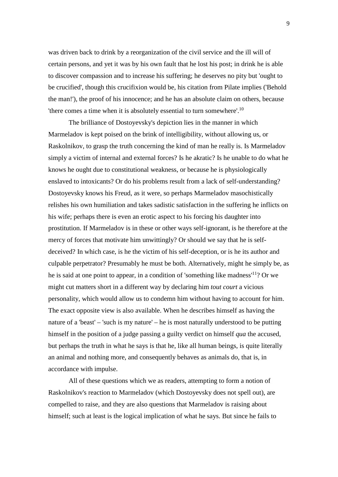was driven back to drink by a reorganization of the civil service and the ill will of certain persons, and yet it was by his own fault that he lost his post; in drink he is able to discover compassion and to increase his suffering; he deserves no pity but 'ought to be crucified', though this crucifixion would be, his citation from Pilate implies ('Behold the man!'), the proof of his innocence; and he has an absolute claim on others, because 'there comes a time when it is absolutely essential to turn somewhere'.<sup>10</sup>

The brilliance of Dostoyevsky's depiction lies in the manner in which Marmeladov is kept poised on the brink of intelligibility, without allowing us, or Raskolnikov, to grasp the truth concerning the kind of man he really is. Is Marmeladov simply a victim of internal and external forces? Is he akratic? Is he unable to do what he knows he ought due to constitutional weakness, or because he is physiologically enslaved to intoxicants? Or do his problems result from a lack of self-understanding? Dostoyevsky knows his Freud, as it were, so perhaps Marmeladov masochistically relishes his own humiliation and takes sadistic satisfaction in the suffering he inflicts on his wife; perhaps there is even an erotic aspect to his forcing his daughter into prostitution. If Marmeladov is in these or other ways self-ignorant, is he therefore at the mercy of forces that motivate him unwittingly? Or should we say that he is selfdeceived? In which case, is he the victim of his self-deception, or is he its author and culpable perpetrator? Presumably he must be both. Alternatively, might he simply be, as he is said at one point to appear, in a condition of 'something like madness'<sup>11</sup>? Or we might cut matters short in a different way by declaring him *tout court* a vicious personality, which would allow us to condemn him without having to account for him. The exact opposite view is also available. When he describes himself as having the nature of a 'beast' – 'such is my nature' – he is most naturally understood to be putting himself in the position of a judge passing a guilty verdict on himself *qua* the accused, but perhaps the truth in what he says is that he, like all human beings, is quite literally an animal and nothing more, and consequently behaves as animals do, that is, in accordance with impulse.

All of these questions which we as readers, attempting to form a notion of Raskolnikov's reaction to Marmeladov (which Dostoyevsky does not spell out), are compelled to raise, and they are also questions that Marmeladov is raising about himself; such at least is the logical implication of what he says. But since he fails to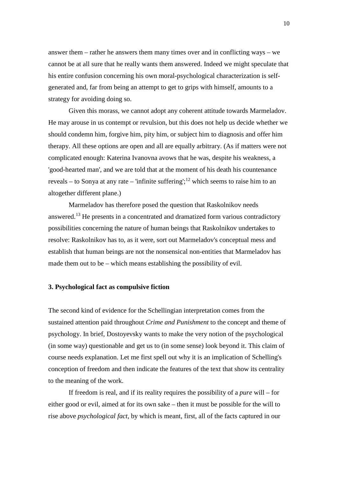answer them – rather he answers them many times over and in conflicting ways – we cannot be at all sure that he really wants them answered. Indeed we might speculate that his entire confusion concerning his own moral-psychological characterization is selfgenerated and, far from being an attempt to get to grips with himself, amounts to a strategy for avoiding doing so.

Given this morass, we cannot adopt any coherent attitude towards Marmeladov. He may arouse in us contempt or revulsion, but this does not help us decide whether we should condemn him, forgive him, pity him, or subject him to diagnosis and offer him therapy. All these options are open and all are equally arbitrary. (As if matters were not complicated enough: Katerina Ivanovna avows that he was, despite his weakness, a 'good-hearted man', and we are told that at the moment of his death his countenance reveals – to Sonya at any rate – 'infinite suffering';<sup>12</sup> which seems to raise him to an altogether different plane.)

Marmeladov has therefore posed the question that Raskolnikov needs answered.<sup>13</sup> He presents in a concentrated and dramatized form various contradictory possibilities concerning the nature of human beings that Raskolnikov undertakes to resolve: Raskolnikov has to, as it were, sort out Marmeladov's conceptual mess and establish that human beings are not the nonsensical non-entities that Marmeladov has made them out to be – which means establishing the possibility of evil.

### **3. Psychological fact as compulsive fiction**

The second kind of evidence for the Schellingian interpretation comes from the sustained attention paid throughout *Crime and Punishment* to the concept and theme of psychology. In brief, Dostoyevsky wants to make the very notion of the psychological (in some way) questionable and get us to (in some sense) look beyond it. This claim of course needs explanation. Let me first spell out why it is an implication of Schelling's conception of freedom and then indicate the features of the text that show its centrality to the meaning of the work.

If freedom is real, and if its reality requires the possibility of a *pure* will – for either good or evil, aimed at for its own sake – then it must be possible for the will to rise above *psychological fact*, by which is meant, first, all of the facts captured in our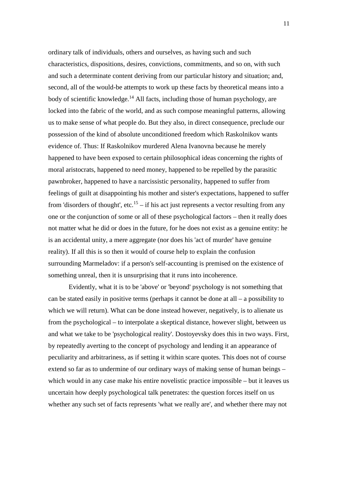ordinary talk of individuals, others and ourselves, as having such and such characteristics, dispositions, desires, convictions, commitments, and so on, with such and such a determinate content deriving from our particular history and situation; and, second, all of the would-be attempts to work up these facts by theoretical means into a body of scientific knowledge.<sup>14</sup> All facts, including those of human psychology, are locked into the fabric of the world, and as such compose meaningful patterns, allowing us to make sense of what people do. But they also, in direct consequence, preclude our possession of the kind of absolute unconditioned freedom which Raskolnikov wants evidence of. Thus: If Raskolnikov murdered Alena Ivanovna because he merely happened to have been exposed to certain philosophical ideas concerning the rights of moral aristocrats, happened to need money, happened to be repelled by the parasitic pawnbroker, happened to have a narcissistic personality, happened to suffer from feelings of guilt at disappointing his mother and sister's expectations, happened to suffer from 'disorders of thought', etc.<sup>15</sup> – if his act just represents a vector resulting from any one or the conjunction of some or all of these psychological factors – then it really does not matter what he did or does in the future, for he does not exist as a genuine entity: he is an accidental unity, a mere aggregate (nor does his 'act of murder' have genuine reality). If all this is so then it would of course help to explain the confusion surrounding Marmeladov: if a person's self-accounting is premised on the existence of something unreal, then it is unsurprising that it runs into incoherence.

Evidently, what it is to be 'above' or 'beyond' psychology is not something that can be stated easily in positive terms (perhaps it cannot be done at all – a possibility to which we will return). What can be done instead however, negatively, is to alienate us from the psychological – to interpolate a skeptical distance, however slight, between us and what we take to be 'psychological reality'. Dostoyevsky does this in two ways. First, by repeatedly averting to the concept of psychology and lending it an appearance of peculiarity and arbitrariness, as if setting it within scare quotes. This does not of course extend so far as to undermine of our ordinary ways of making sense of human beings – which would in any case make his entire novelistic practice impossible – but it leaves us uncertain how deeply psychological talk penetrates: the question forces itself on us whether any such set of facts represents 'what we really are', and whether there may not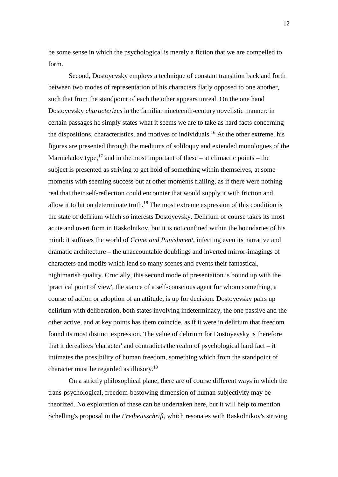be some sense in which the psychological is merely a fiction that we are compelled to form.

Second, Dostoyevsky employs a technique of constant transition back and forth between two modes of representation of his characters flatly opposed to one another, such that from the standpoint of each the other appears unreal. On the one hand Dostoyevsky *characterizes* in the familiar nineteenth-century novelistic manner: in certain passages he simply states what it seems we are to take as hard facts concerning the dispositions, characteristics, and motives of individuals.<sup>16</sup> At the other extreme, his figures are presented through the mediums of soliloquy and extended monologues of the Marmeladov type, $17$  and in the most important of these – at climactic points – the subject is presented as striving to get hold of something within themselves, at some moments with seeming success but at other moments flailing, as if there were nothing real that their self-reflection could encounter that would supply it with friction and allow it to hit on determinate truth.<sup>18</sup> The most extreme expression of this condition is the state of delirium which so interests Dostoyevsky. Delirium of course takes its most acute and overt form in Raskolnikov, but it is not confined within the boundaries of his mind: it suffuses the world of *Crime and Punishment*, infecting even its narrative and dramatic architecture – the unaccountable doublings and inverted mirror-imagings of characters and motifs which lend so many scenes and events their fantastical, nightmarish quality. Crucially, this second mode of presentation is bound up with the 'practical point of view', the stance of a self-conscious agent for whom something, a course of action or adoption of an attitude, is up for decision. Dostoyevsky pairs up delirium with deliberation, both states involving indeterminacy, the one passive and the other active, and at key points has them coincide, as if it were in delirium that freedom found its most distinct expression. The value of delirium for Dostoyevsky is therefore that it derealizes 'character' and contradicts the realm of psychological hard fact – it intimates the possibility of human freedom, something which from the standpoint of character must be regarded as illusory.<sup>19</sup>

On a strictly philosophical plane, there are of course different ways in which the trans-psychological, freedom-bestowing dimension of human subjectivity may be theorized. No exploration of these can be undertaken here, but it will help to mention Schelling's proposal in the *Freiheitsschrift*, which resonates with Raskolnikov's striving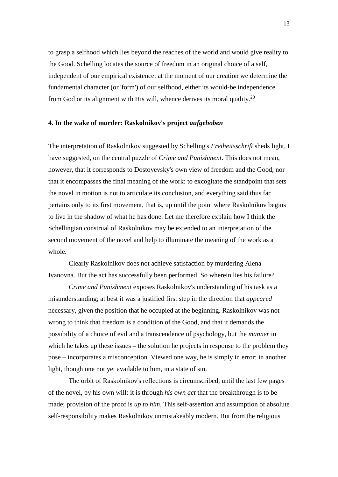to grasp a selfhood which lies beyond the reaches of the world and would give reality to the Good. Schelling locates the source of freedom in an original choice of a self, independent of our empirical existence: at the moment of our creation we determine the fundamental character (or 'form') of our selfhood, either its would-be independence from God or its alignment with His will, whence derives its moral quality.<sup>20</sup>

## **4. In the wake of murder: Raskolnikov's project** *aufgehoben*

The interpretation of Raskolnikov suggested by Schelling's *Freiheitsschrift* sheds light, I have suggested, on the central puzzle of *Crime and Punishment*. This does not mean, however, that it corresponds to Dostoyevsky's own view of freedom and the Good, nor that it encompasses the final meaning of the work: to excogitate the standpoint that sets the novel in motion is not to articulate its conclusion, and everything said thus far pertains only to its first movement, that is, up until the point where Raskolnikov begins to live in the shadow of what he has done. Let me therefore explain how I think the Schellingian construal of Raskolnikov may be extended to an interpretation of the second movement of the novel and help to illuminate the meaning of the work as a whole.

Clearly Raskolnikov does not achieve satisfaction by murdering Alena Ivanovna. But the act has successfully been performed. So wherein lies his failure?

*Crime and Punishment* exposes Raskolnikov's understanding of his task as a misunderstanding; at best it was a justified first step in the direction that *appeared* necessary, given the position that he occupied at the beginning. Raskolnikov was not wrong to think that freedom is a condition of the Good, and that it demands the possibility of a choice of evil and a transcendence of psychology, but the *manner* in which he takes up these issues – the solution he projects in response to the problem they pose – incorporates a misconception. Viewed one way, he is simply in error; in another light, though one not yet available to him, in a state of sin.

The orbit of Raskolnikov's reflections is circumscribed, until the last few pages of the novel, by his own will: it is through *his own act* that the breakthrough is to be made; provision of the proof is *up to him*. This self-assertion and assumption of absolute self-responsibility makes Raskolnikov unmistakeably modern. But from the religious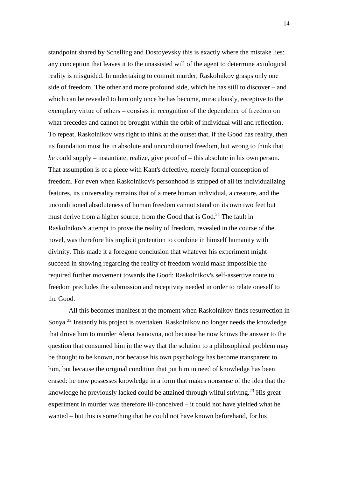standpoint shared by Schelling and Dostoyevsky this is exactly where the mistake lies: any conception that leaves it to the unassisted will of the agent to determine axiological reality is misguided. In undertaking to commit murder, Raskolnikov grasps only one side of freedom. The other and more profound side, which he has still to discover – and which can be revealed to him only once he has become, miraculously, receptive to the exemplary virtue of others – consists in recognition of the dependence of freedom on what precedes and cannot be brought within the orbit of individual will and reflection. To repeat, Raskolnikov was right to think at the outset that, if the Good has reality, then its foundation must lie in absolute and unconditioned freedom, but wrong to think that *he* could supply – instantiate, realize, give proof of – this absolute in his own person. That assumption is of a piece with Kant's defective, merely formal conception of freedom. For even when Raskolnikov's personhood is stripped of all its individualizing features, its universality remains that of a mere human individual, a creature, and the unconditioned absoluteness of human freedom cannot stand on its own two feet but must derive from a higher source, from the Good that is God.<sup>21</sup> The fault in Raskolnikov's attempt to prove the reality of freedom, revealed in the course of the novel, was therefore his implicit pretention to combine in himself humanity with divinity. This made it a foregone conclusion that whatever his experiment might succeed in showing regarding the reality of freedom would make impossible the required further movement towards the Good: Raskolnikov's self-assertive route to freedom precludes the submission and receptivity needed in order to relate oneself to the Good.

All this becomes manifest at the moment when Raskolnikov finds resurrection in Sonya.<sup>22</sup> Instantly his project is overtaken. Raskolnikov no longer needs the knowledge that drove him to murder Alena Ivanovna, not because he now knows the answer to the question that consumed him in the way that the solution to a philosophical problem may be thought to be known, nor because his own psychology has become transparent to him, but because the original condition that put him in need of knowledge has been erased: he now possesses knowledge in a form that makes nonsense of the idea that the knowledge he previously lacked could be attained through wilful striving.<sup>23</sup> His great experiment in murder was therefore ill-conceived – it could not have yielded what he wanted – but this is something that he could not have known beforehand, for his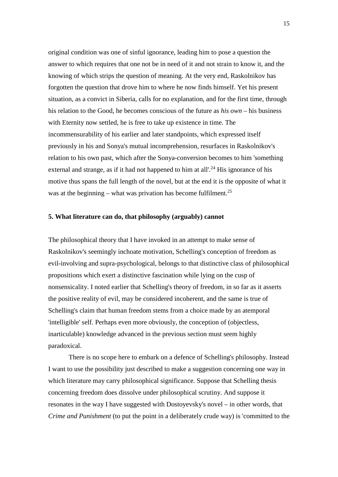original condition was one of sinful ignorance, leading him to pose a question the answer to which requires that one not be in need of it and not strain to know it, and the knowing of which strips the question of meaning. At the very end, Raskolnikov has forgotten the question that drove him to where he now finds himself. Yet his present situation, as a convict in Siberia, calls for no explanation, and for the first time, through his relation to the Good, he becomes conscious of the future as *his own* – his business with Eternity now settled, he is free to take up existence in time. The incommensurability of his earlier and later standpoints, which expressed itself previously in his and Sonya's mutual incomprehension, resurfaces in Raskolnikov's relation to his own past, which after the Sonya-conversion becomes to him 'something external and strange, as if it had not happened to him at all'.<sup>24</sup> His ignorance of his motive thus spans the full length of the novel, but at the end it is the opposite of what it was at the beginning – what was privation has become fulfilment.<sup>25</sup>

### **5. What literature can do, that philosophy (arguably) cannot**

The philosophical theory that I have invoked in an attempt to make sense of Raskolnikov's seemingly inchoate motivation, Schelling's conception of freedom as evil-involving and supra-psychological, belongs to that distinctive class of philosophical propositions which exert a distinctive fascination while lying on the cusp of nonsensicality. I noted earlier that Schelling's theory of freedom, in so far as it asserts the positive reality of evil, may be considered incoherent, and the same is true of Schelling's claim that human freedom stems from a choice made by an atemporal 'intelligible' self. Perhaps even more obviously, the conception of (objectless, inarticulable) knowledge advanced in the previous section must seem highly paradoxical.

There is no scope here to embark on a defence of Schelling's philosophy. Instead I want to use the possibility just described to make a suggestion concerning one way in which literature may carry philosophical significance. Suppose that Schelling thesis concerning freedom does dissolve under philosophical scrutiny. And suppose it resonates in the way I have suggested with Dostoyevsky's novel – in other words, that *Crime and Punishment* (to put the point in a deliberately crude way) is 'committed to the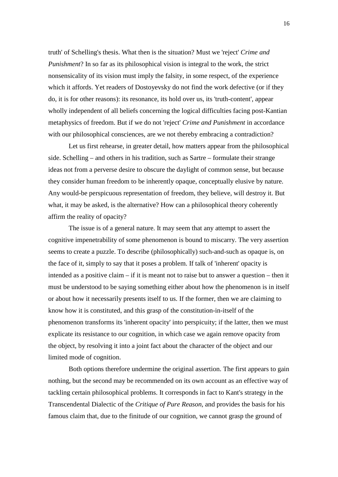truth' of Schelling's thesis. What then is the situation? Must we 'reject' *Crime and Punishment*? In so far as its philosophical vision is integral to the work, the strict nonsensicality of its vision must imply the falsity, in some respect, of the experience which it affords. Yet readers of Dostoyevsky do not find the work defective (or if they do, it is for other reasons): its resonance, its hold over us, its 'truth-content', appear wholly independent of all beliefs concerning the logical difficulties facing post-Kantian metaphysics of freedom. But if we do not 'reject' *Crime and Punishment* in accordance with our philosophical consciences, are we not thereby embracing a contradiction?

Let us first rehearse, in greater detail, how matters appear from the philosophical side. Schelling – and others in his tradition, such as Sartre – formulate their strange ideas not from a perverse desire to obscure the daylight of common sense, but because they consider human freedom to be inherently opaque, conceptually elusive by nature. Any would-be perspicuous representation of freedom, they believe, will destroy it. But what, it may be asked, is the alternative? How can a philosophical theory coherently affirm the reality of opacity?

The issue is of a general nature. It may seem that any attempt to assert the cognitive impenetrability of some phenomenon is bound to miscarry. The very assertion seems to create a puzzle. To describe (philosophically) such-and-such as opaque is, on the face of it, simply to say that it poses a problem. If talk of 'inherent' opacity is intended as a positive claim – if it is meant not to raise but to answer a question – then it must be understood to be saying something either about how the phenomenon is in itself or about how it necessarily presents itself to us. If the former, then we are claiming to know how it is constituted, and this grasp of the constitution-in-itself of the phenomenon transforms its 'inherent opacity' into perspicuity; if the latter, then we must explicate its resistance to our cognition, in which case we again remove opacity from the object, by resolving it into a joint fact about the character of the object and our limited mode of cognition.

Both options therefore undermine the original assertion. The first appears to gain nothing, but the second may be recommended on its own account as an effective way of tackling certain philosophical problems. It corresponds in fact to Kant's strategy in the Transcendental Dialectic of the *Critique of Pure Reason*, and provides the basis for his famous claim that, due to the finitude of our cognition, we cannot grasp the ground of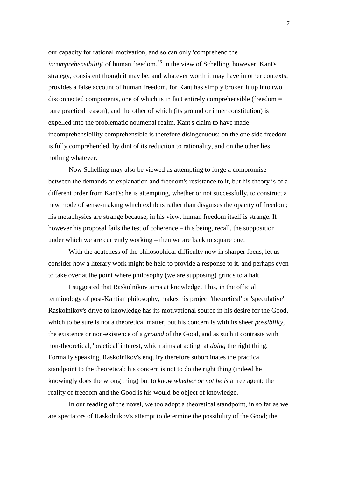our capacity for rational motivation, and so can only 'comprehend the *incomprehensibility*' of human freedom.<sup>26</sup> In the view of Schelling, however, Kant's strategy, consistent though it may be, and whatever worth it may have in other contexts, provides a false account of human freedom, for Kant has simply broken it up into two disconnected components, one of which is in fact entirely comprehensible (freedom = pure practical reason), and the other of which (its ground or inner constitution) is expelled into the problematic noumenal realm. Kant's claim to have made incomprehensibility comprehensible is therefore disingenuous: on the one side freedom is fully comprehended, by dint of its reduction to rationality, and on the other lies nothing whatever.

Now Schelling may also be viewed as attempting to forge a compromise between the demands of explanation and freedom's resistance to it, but his theory is of a different order from Kant's: he is attempting, whether or not successfully, to construct a new mode of sense-making which exhibits rather than disguises the opacity of freedom; his metaphysics are strange because, in his view, human freedom itself is strange. If however his proposal fails the test of coherence – this being, recall, the supposition under which we are currently working – then we are back to square one.

With the acuteness of the philosophical difficulty now in sharper focus, let us consider how a literary work might be held to provide a response to it, and perhaps even to take over at the point where philosophy (we are supposing) grinds to a halt.

I suggested that Raskolnikov aims at knowledge. This, in the official terminology of post-Kantian philosophy, makes his project 'theoretical' or 'speculative'. Raskolnikov's drive to knowledge has its motivational source in his desire for the Good, which to be sure is not a theoretical matter, but his concern is with its sheer *possibility*, the existence or non-existence of a *ground* of the Good, and as such it contrasts with non-theoretical, 'practical' interest, which aims at acting, at *doing* the right thing. Formally speaking, Raskolnikov's enquiry therefore subordinates the practical standpoint to the theoretical: his concern is not to do the right thing (indeed he knowingly does the wrong thing) but to *know whether or not he is* a free agent; the reality of freedom and the Good is his would-be object of knowledge.

In our reading of the novel, we too adopt a theoretical standpoint, in so far as we are spectators of Raskolnikov's attempt to determine the possibility of the Good; the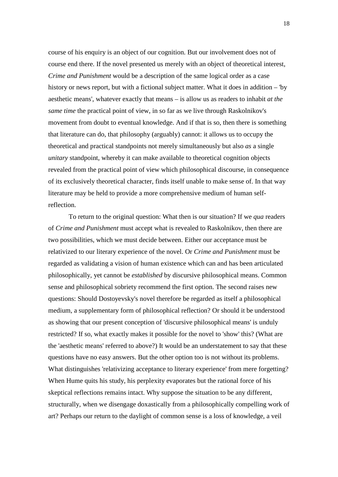course of his enquiry is an object of our cognition. But our involvement does not of course end there. If the novel presented us merely with an object of theoretical interest, *Crime and Punishment* would be a description of the same logical order as a case history or news report, but with a fictional subject matter. What it does in addition – 'by aesthetic means', whatever exactly that means – is allow us as readers to inhabit *at the same time* the practical point of view, in so far as we live through Raskolnikov's movement from doubt to eventual knowledge. And if that is so, then there is something that literature can do, that philosophy (arguably) cannot: it allows us to occupy the theoretical and practical standpoints not merely simultaneously but also *as* a single *unitary* standpoint, whereby it can make available to theoretical cognition objects revealed from the practical point of view which philosophical discourse, in consequence of its exclusively theoretical character, finds itself unable to make sense of. In that way literature may be held to provide a more comprehensive medium of human selfreflection.

To return to the original question: What then is our situation? If we *qua* readers of *Crime and Punishment* must accept what is revealed to Raskolnikov, then there are two possibilities, which we must decide between. Either our acceptance must be relativized to our literary experience of the novel. Or *Crime and Punishment* must be regarded as validating a vision of human existence which can and has been articulated philosophically, yet cannot be *established* by discursive philosophical means. Common sense and philosophical sobriety recommend the first option. The second raises new questions: Should Dostoyevsky's novel therefore be regarded as itself a philosophical medium, a supplementary form of philosophical reflection? Or should it be understood as showing that our present conception of 'discursive philosophical means' is unduly restricted? If so, what exactly makes it possible for the novel to 'show' this? (What are the 'aesthetic means' referred to above?) It would be an understatement to say that these questions have no easy answers. But the other option too is not without its problems. What distinguishes 'relativizing acceptance to literary experience' from mere forgetting? When Hume quits his study, his perplexity evaporates but the rational force of his skeptical reflections remains intact. Why suppose the situation to be any different, structurally, when we disengage doxastically from a philosophically compelling work of art? Perhaps our return to the daylight of common sense is a loss of knowledge, a veil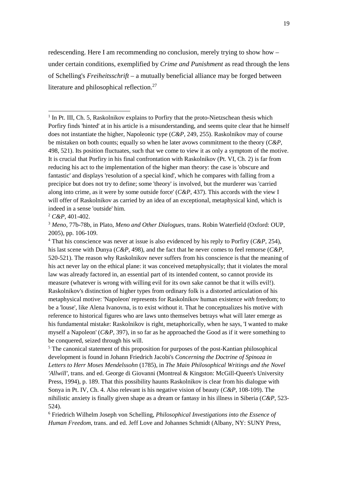redescending. Here I am recommending no conclusion, merely trying to show how – under certain conditions, exemplified by *Crime and Punishment* as read through the lens of Schelling's *Freiheitsschrift* – a mutually beneficial alliance may be forged between literature and philosophical reflection.<sup>27</sup>

-

<sup>4</sup> That his conscience was never at issue is also evidenced by his reply to Porfiry ( $C\&P$ , 254), his last scene with Dunya (*C&P,* 498), and the fact that he never comes to feel remorse (*C&P,*  520-521). The reason why Raskolnikov never suffers from his conscience is that the meaning of his act never lay on the ethical plane: it was conceived metaphysically; that it violates the moral law was already factored in, an essential part of its intended content, so cannot provide its measure (whatever is wrong with willing evil for its own sake cannot be that it wills evil!). Raskolnikov's distinction of higher types from ordinary folk is a distorted articulation of his metaphysical motive: 'Napoleon' represents for Raskolnikov human existence *with* freedom; to be a 'louse', like Alena Ivanovna, is to exist without it. That he conceptualizes his motive with reference to historical figures who are laws unto themselves betrays what will later emerge as his fundamental mistake: Raskolnikov is right, metaphorically, when he says, 'I wanted to make myself a Napoleon' (*C&P,* 397), in so far as he approached the Good as if it were something to be conquered, seized through his will.

<sup>5</sup> The canonical statement of this proposition for purposes of the post-Kantian philosophical development is found in Johann Friedrich Jacobi's *Concerning the Doctrine of Spinoza in Letters to Herr Moses Mendelssohn* (1785), in *The Main Philosophical Writings and the Novel 'Allwill'*, trans. and ed. George di Giovanni (Montreal & Kingston: McGill-Queen's University Press, 1994), p. 189. That this possibility haunts Raskolnikov is clear from his dialogue with Sonya in Pt. IV, Ch. 4. Also relevant is his negative vision of beauty (*C&P,* 108-109). The nihilistic anxiety is finally given shape as a dream or fantasy in his illness in Siberia (*C&P,* 523- 524).

6 Friedrich Wilhelm Joseph von Schelling, *Philosophical Investigations into the Essence of Human Freedom*, trans. and ed. Jeff Love and Johannes Schmidt (Albany, NY: SUNY Press,

<sup>&</sup>lt;sup>1</sup> In Pt. III, Ch. 5, Raskolnikov explains to Porfiry that the proto-Nietzschean thesis which Porfiry finds 'hinted' at in his article is a misunderstanding, and seems quite clear that he himself does not instantiate the higher, Napoleonic type (*C&P,* 249, 255). Raskolnikov may of course be mistaken on both counts; equally so when he later avows commitment to the theory (*C&P,*  498, 521). Its position fluctuates, such that we come to view it as only a symptom of the motive. It is crucial that Porfiry in his final confrontation with Raskolnikov (Pt. VI, Ch. 2) is far from reducing his act to the implementation of the higher man theory: the case is 'obscure and fantastic' and displays 'resolution of a special kind', which he compares with falling from a precipice but does not try to define; some 'theory' is involved, but the murderer was 'carried along into crime, as it were by some outside force' (*C&P*, 437). This accords with the view I will offer of Raskolnikov as carried by an idea of an exceptional, metaphysical kind, which is indeed in a sense 'outside' him.

<sup>2</sup> *C&P,* 401-402.

<sup>3</sup> *Meno*, 77b-78b, in Plato, *Meno and Other Dialogues*, trans. Robin Waterfield (Oxford: OUP, 2005), pp. 106-109.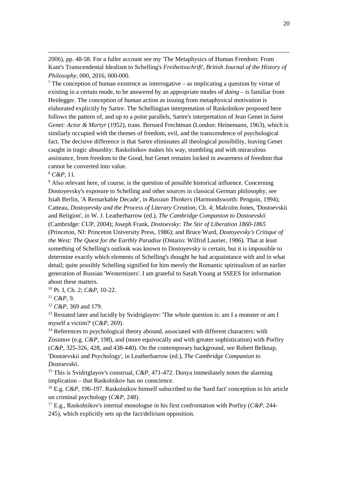2006), pp. 48-58. For a fuller account see my 'The Metaphysics of Human Freedom: From Kant's Transcendental Idealism to Schelling's *Freiheitsschrift*', *British Journal of the History of Philosophy*, 000, 2016, 000-000.

<sup>7</sup> The conception of human existence as interrogative – as implicating a question by virtue of existing in a certain mode, to be answered by an appropriate modes of *doing* – is familiar from Heidegger. The conception of human action as issuing from metaphysical motivation is elaborated explicitly by Sartre. The Schellingian interpretation of Raskolnikov proposed here follows the pattern of, and up to a point parallels, Sartre's interpretation of Jean Genet in *Saint Genet: Actor & Martyr* (1952), trans. Bernard Frechtman (London: Heinemann, 1963), which is similarly occupied with the themes of freedom, evil, and the transcendence of psychological fact. The decisive difference is that Sartre eliminates all theological possibility, leaving Genet caught in tragic absurdity: Raskolnikov makes his way, stumbling and with miraculous assistance, from freedom to the Good, but Genet remains locked in awareness of freedom that cannot be converted into value.

<sup>8</sup> *C&P*, 11.

-

<sup>9</sup> Also relevant here, of course, is the question of possible historical influence. Concerning Dostoyevsky's exposure to Schelling and other sources in classical German philosophy, see Isiah Berlin, 'A Remarkable Decade', in *Russian Thinkers* (Harmondsworth: Penguin, 1994); Catteau, *Dostoyevsky and the Process of Literary Creation*, Ch. 4; Malcolm Jones, 'Dostoevskii and Religion', in W. J. Leatherbarrow (ed.), *The Cambridge Companion to Dostoevskii* (Cambridge: CUP, 2004); Joseph Frank, *Dostoevsky: The Stir of Liberation 1860-1865* (Princeton, NJ: Princeton University Press, 1986); and Bruce Ward, *Dostoyevsky's Critique of the West: The Quest for the Earthly Paradise* (Ontario: Wilfrid Laurier, 1986). That at least something of Schelling's outlook was known to Dostoyevsky is certain, but it is impossible to determine exactly which elements of Schelling's thought he had acquaintance with and in what detail; quite possibly Schelling signified for him merely the Romantic spiritualism of an earlier generation of Russian 'Westernizers'. I am grateful to Sarah Young at SSEES for information about these matters.

<sup>10</sup> Pt. I, Ch. 2; *C&P,* 10-22.

<sup>11</sup> *C&P,* 9.

<sup>12</sup> *C&P,* 369 and 179.

 $13$  Restated later and lucidly by Svidriglayov: 'The whole question is: am I a monster or am I myself a victim?' (*C&P,* 269).

<sup>14</sup> References to psychological theory abound, associated with different characters: with Zosimov (e.g. *C&P,* 198), and (more equivocally and with greater sophistication) with Porfiry (*C&P,* 325-326, 428, and 438-440). On the contemporary background, see Robert Belknap, 'Dostoevskii and Psychology', in Leatherbarrow (ed.), *The Cambridge Companion to Dostoevskii*.

<sup>15</sup> This is Svidriglayov's construal, *C&P*, 471-472. Dunya immediately notes the alarming implication – that Raskolnikov has no conscience.

<sup>16</sup> E.g. *C&P*, 196-197. Raskolnikov himself subscribed to the 'hard fact' conception in his article on criminal psychology (*C&P,* 248).

<sup>17</sup> E.g., Raskolnikov's internal monologue in his first confrontation with Porfiry (*C&P,* 244- 245), which explicitly sets up the fact/delirium opposition.